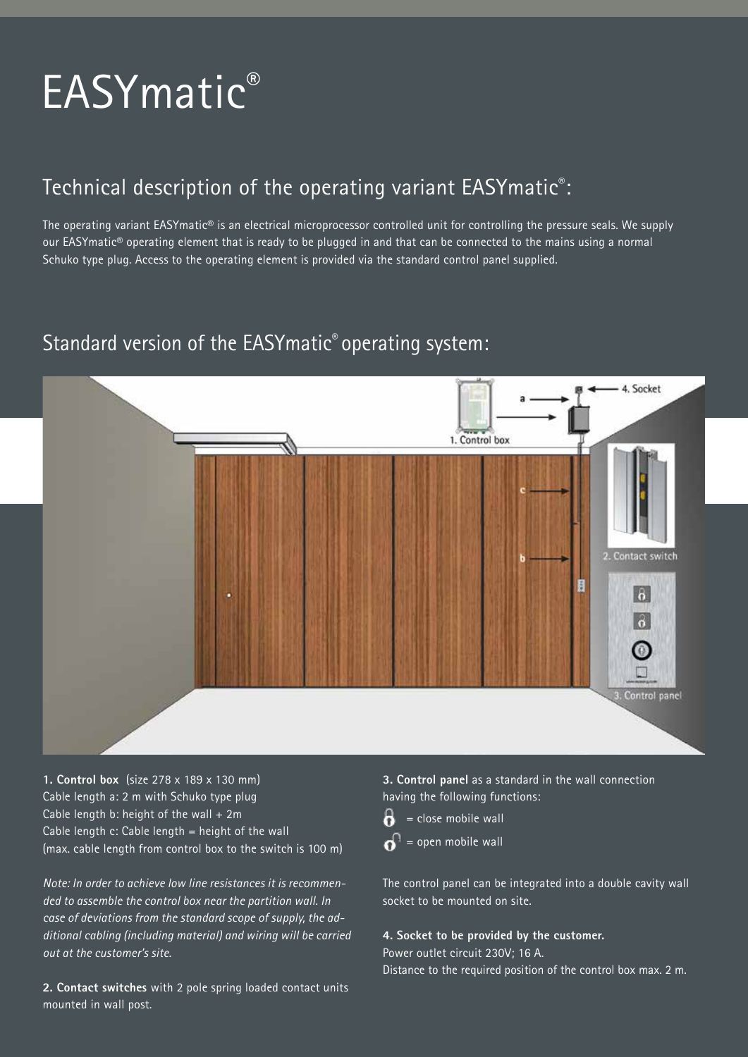# EASYmatic®

## Technical description of the operating variant EASYmatic® :

The operating variant EASYmatic® is an electrical microprocessor controlled unit for controlling the pressure seals. We supply our EASYmatic® operating element that is ready to be plugged in and that can be connected to the mains using a normal Schuko type plug. Access to the operating element is provided via the standard control panel supplied.

## Standard version of the EASYmatic® operating system:



**1. Control box** (size 278 x 189 x 130 mm) Cable length a: 2 m with Schuko type plug Cable length b: height of the wall  $+2m$ Cable length c: Cable length = height of the wall (max. cable length from control box to the switch is 100 m)

*Note: In order to achieve low line resistances it is recommended to assemble the control box near the partition wall. In case of deviations from the standard scope of supply, the additional cabling (including material) and wiring will be carried out at the customer's site.*

**2. Contact switches** with 2 pole spring loaded contact units mounted in wall post.

**3. Control panel** as a standard in the wall connection having the following functions:

 $\theta$  = close mobile wall  $\mathbf{a}^{\mathsf{D}}$  = open mobile wall

The control panel can be integrated into a double cavity wall socket to be mounted on site.

#### **4. Socket to be provided by the customer.**

Power outlet circuit 230V; 16 A.

Distance to the required position of the control box max. 2 m.